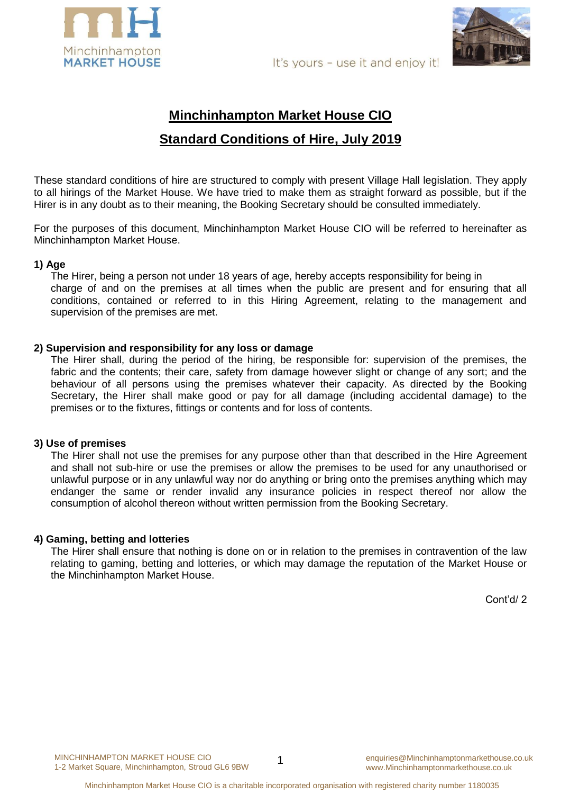



It's yours - use it and enjoy it!

# **Minchinhampton Market House CIO Standard Conditions of Hire, July 2019**

These standard conditions of hire are structured to comply with present Village Hall legislation. They apply to all hirings of the Market House. We have tried to make them as straight forward as possible, but if the Hirer is in any doubt as to their meaning, the Booking Secretary should be consulted immediately.

For the purposes of this document, Minchinhampton Market House CIO will be referred to hereinafter as Minchinhampton Market House.

# **1) Age**

The Hirer, being a person not under 18 years of age, hereby accepts responsibility for being in charge of and on the premises at all times when the public are present and for ensuring that all conditions, contained or referred to in this Hiring Agreement, relating to the management and supervision of the premises are met.

## **2) Supervision and responsibility for any loss or damage**

The Hirer shall, during the period of the hiring, be responsible for: supervision of the premises, the fabric and the contents; their care, safety from damage however slight or change of any sort; and the behaviour of all persons using the premises whatever their capacity. As directed by the Booking Secretary, the Hirer shall make good or pay for all damage (including accidental damage) to the premises or to the fixtures, fittings or contents and for loss of contents.

## **3) Use of premises**

The Hirer shall not use the premises for any purpose other than that described in the Hire Agreement and shall not sub-hire or use the premises or allow the premises to be used for any unauthorised or unlawful purpose or in any unlawful way nor do anything or bring onto the premises anything which may endanger the same or render invalid any insurance policies in respect thereof nor allow the consumption of alcohol thereon without written permission from the Booking Secretary.

# **4) Gaming, betting and lotteries**

The Hirer shall ensure that nothing is done on or in relation to the premises in contravention of the law relating to gaming, betting and lotteries, or which may damage the reputation of the Market House or the Minchinhampton Market House.

Cont'd/ 2

1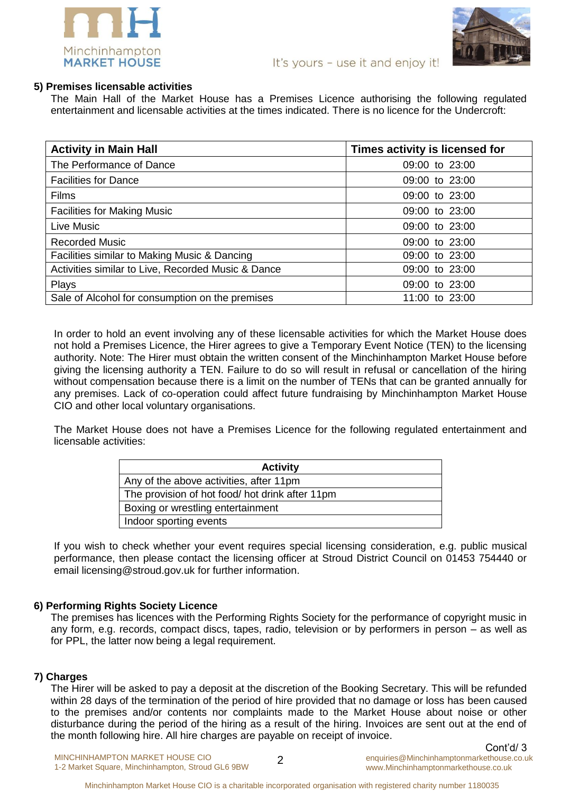

# **5) Premises licensable activities**

The Main Hall of the Market House has a Premises Licence authorising the following regulated entertainment and licensable activities at the times indicated. There is no licence for the Undercroft:

| <b>Activity in Main Hall</b>                       | Times activity is licensed for |
|----------------------------------------------------|--------------------------------|
| The Performance of Dance                           | 09:00 to 23:00                 |
| <b>Facilities for Dance</b>                        | 09:00 to 23:00                 |
| <b>Films</b>                                       | 09:00 to 23:00                 |
| <b>Facilities for Making Music</b>                 | 09:00 to 23:00                 |
| Live Music                                         | 09:00 to 23:00                 |
| <b>Recorded Music</b>                              | 09:00 to 23:00                 |
| Facilities similar to Making Music & Dancing       | 09:00 to 23:00                 |
| Activities similar to Live, Recorded Music & Dance | 09:00 to 23:00                 |
| Plays                                              | 09:00 to 23:00                 |
| Sale of Alcohol for consumption on the premises    | 11:00 to 23:00                 |

In order to hold an event involving any of these licensable activities for which the Market House does not hold a Premises Licence, the Hirer agrees to give a Temporary Event Notice (TEN) to the licensing authority. Note: The Hirer must obtain the written consent of the Minchinhampton Market House before giving the licensing authority a TEN. Failure to do so will result in refusal or cancellation of the hiring without compensation because there is a limit on the number of TENs that can be granted annually for any premises. Lack of co-operation could affect future fundraising by Minchinhampton Market House CIO and other local voluntary organisations.

The Market House does not have a Premises Licence for the following regulated entertainment and licensable activities:

| <b>Activity</b>                                 |
|-------------------------------------------------|
| Any of the above activities, after 11pm         |
| The provision of hot food/ hot drink after 11pm |
| Boxing or wrestling entertainment               |
| Indoor sporting events                          |

If you wish to check whether your event requires special licensing consideration, e.g. public musical performance, then please contact the licensing officer at Stroud District Council on 01453 754440 or email [licensing@stroud.gov.uk](mailto:licensing@stroud.gov.uk) for further information.

# **6) Performing Rights Society Licence**

The premises has licences with the Performing Rights Society for the performance of copyright music in any form, e.g. records, compact discs, tapes, radio, television or by performers in person – as well as for PPL, the latter now being a legal requirement.

# **7) Charges**

The Hirer will be asked to pay a deposit at the discretion of the Booking Secretary. This will be refunded within 28 days of the termination of the period of hire provided that no damage or loss has been caused to the premises and/or contents nor complaints made to the Market House about noise or other disturbance during the period of the hiring as a result of the hiring. Invoices are sent out at the end of the month following hire. All hire charges are payable on receipt of invoice.

MINCHINHAMPTON MARKET HOUSE CIO 1-2 Market Square, Minchinhampton, Stroud GL6 9BW

 $\mathfrak{D}$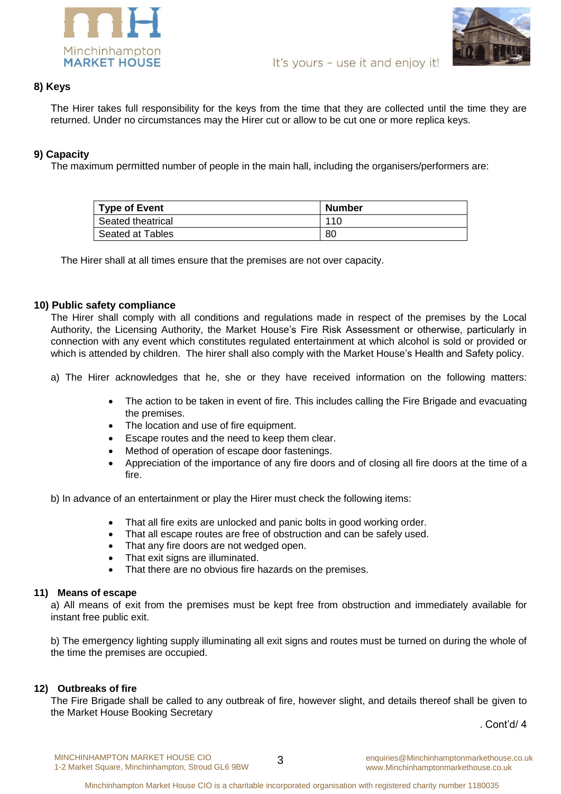

# **8) Keys**

The Hirer takes full responsibility for the keys from the time that they are collected until the time they are returned. Under no circumstances may the Hirer cut or allow to be cut one or more replica keys.

# **9) Capacity**

The maximum permitted number of people in the main hall, including the organisers/performers are:

| <b>Type of Event</b> | <b>Number</b> |
|----------------------|---------------|
| Seated theatrical    | 110           |
| Seated at Tables     | 80            |

The Hirer shall at all times ensure that the premises are not over capacity.

# **10) Public safety compliance**

The Hirer shall comply with all conditions and regulations made in respect of the premises by the Local Authority, the Licensing Authority, the Market House's Fire Risk Assessment or otherwise, particularly in connection with any event which constitutes regulated entertainment at which alcohol is sold or provided or which is attended by children. The hirer shall also comply with the Market House's Health and Safety policy.

a) The Hirer acknowledges that he, she or they have received information on the following matters:

- The action to be taken in event of fire. This includes calling the Fire Brigade and evacuating the premises.
- The location and use of fire equipment.
- Escape routes and the need to keep them clear.
- Method of operation of escape door fastenings.
- Appreciation of the importance of any fire doors and of closing all fire doors at the time of a fire.

b) In advance of an entertainment or play the Hirer must check the following items:

- That all fire exits are unlocked and panic bolts in good working order.
- That all escape routes are free of obstruction and can be safely used.
- That any fire doors are not wedged open.
- That exit signs are illuminated.
- That there are no obvious fire hazards on the premises.

## **11) Means of escape**

a) All means of exit from the premises must be kept free from obstruction and immediately available for instant free public exit.

b) The emergency lighting supply illuminating all exit signs and routes must be turned on during the whole of the time the premises are occupied.

## **12) Outbreaks of fire**

The Fire Brigade shall be called to any outbreak of fire, however slight, and details thereof shall be given to the Market House Booking Secretary

. Cont'd/ 4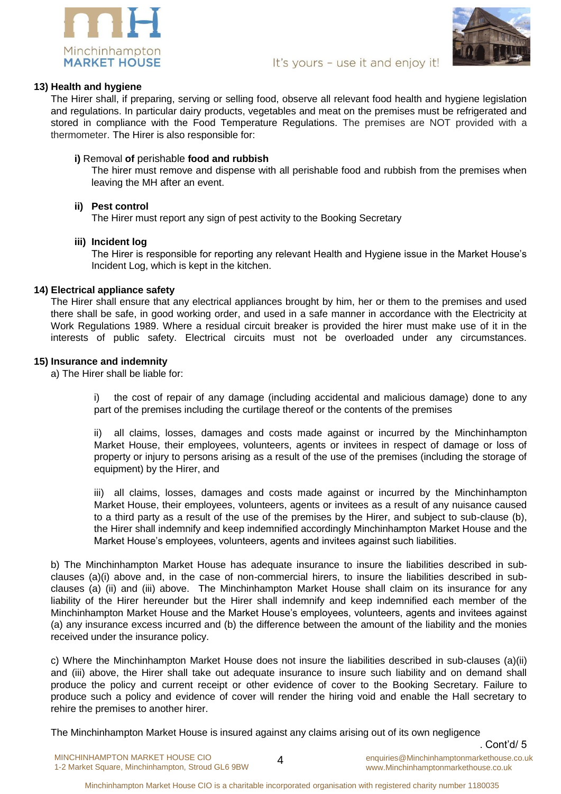



## **13) Health and hygiene**

The Hirer shall, if preparing, serving or selling food, observe all relevant food health and hygiene legislation and regulations. In particular dairy products, vegetables and meat on the premises must be refrigerated and stored in compliance with the Food Temperature Regulations. The premises are NOT provided with a thermometer. The Hirer is also responsible for:

## **i)** Removal **of** perishable **food and rubbish**

The hirer must remove and dispense with all perishable food and rubbish from the premises when leaving the MH after an event.

## **ii) Pest control**

The Hirer must report any sign of pest activity to the Booking Secretary

## **iii) Incident log**

The Hirer is responsible for reporting any relevant Health and Hygiene issue in the Market House's Incident Log, which is kept in the kitchen.

## **14) Electrical appliance safety**

The Hirer shall ensure that any electrical appliances brought by him, her or them to the premises and used there shall be safe, in good working order, and used in a safe manner in accordance with the Electricity at Work Regulations 1989. Where a residual circuit breaker is provided the hirer must make use of it in the interests of public safety. Electrical circuits must not be overloaded under any circumstances.

## **15) Insurance and indemnity**

a) The Hirer shall be liable for:

i) the cost of repair of any damage (including accidental and malicious damage) done to any part of the premises including the curtilage thereof or the contents of the premises

ii) all claims, losses, damages and costs made against or incurred by the Minchinhampton Market House, their employees, volunteers, agents or invitees in respect of damage or loss of property or injury to persons arising as a result of the use of the premises (including the storage of equipment) by the Hirer, and

iii) all claims, losses, damages and costs made against or incurred by the Minchinhampton Market House, their employees, volunteers, agents or invitees as a result of any nuisance caused to a third party as a result of the use of the premises by the Hirer, and subject to sub-clause (b), the Hirer shall indemnify and keep indemnified accordingly Minchinhampton Market House and the Market House's employees, volunteers, agents and invitees against such liabilities.

b) The Minchinhampton Market House has adequate insurance to insure the liabilities described in subclauses (a)(i) above and, in the case of non-commercial hirers, to insure the liabilities described in subclauses (a) (ii) and (iii) above. The Minchinhampton Market House shall claim on its insurance for any liability of the Hirer hereunder but the Hirer shall indemnify and keep indemnified each member of the Minchinhampton Market House and the Market House's employees, volunteers, agents and invitees against (a) any insurance excess incurred and (b) the difference between the amount of the liability and the monies received under the insurance policy.

c) Where the Minchinhampton Market House does not insure the liabilities described in sub-clauses (a)(ii) and (iii) above, the Hirer shall take out adequate insurance to insure such liability and on demand shall produce the policy and current receipt or other evidence of cover to the Booking Secretary. Failure to produce such a policy and evidence of cover will render the hiring void and enable the Hall secretary to rehire the premises to another hirer.

The Minchinhampton Market House is insured against any claims arising out of its own negligence

. Cont'd/ 5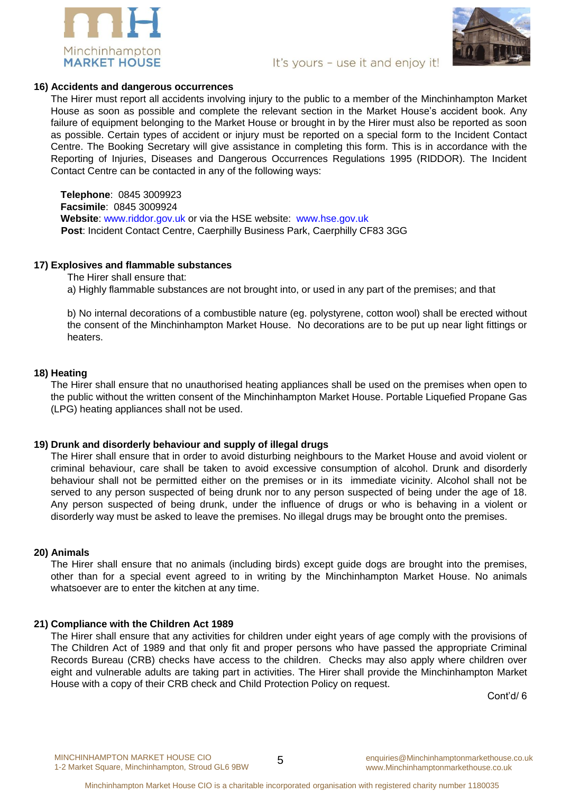

# It's yours - use it and enjoy it!

## **16) Accidents and dangerous occurrences**

The Hirer must report all accidents involving injury to the public to a member of the Minchinhampton Market House as soon as possible and complete the relevant section in the Market House's accident book. Any failure of equipment belonging to the Market House or brought in by the Hirer must also be reported as soon as possible. Certain types of accident or injury must be reported on a special form to the Incident Contact Centre. The Booking Secretary will give assistance in completing this form. This is in accordance with the Reporting of Injuries, Diseases and Dangerous Occurrences Regulations 1995 (RIDDOR). The Incident Contact Centre can be contacted in any of the following ways:

**Telephone**: 0845 3009923 **Facsimile**: 0845 3009924 **Website**: www.riddor.gov.uk or via the HSE website: www.hse.gov.uk **Post**: Incident Contact Centre, Caerphilly Business Park, Caerphilly CF83 3GG

## **17) Explosives and flammable substances**

The Hirer shall ensure that:

a) Highly flammable substances are not brought into, or used in any part of the premises; and that

b) No internal decorations of a combustible nature (eg. polystyrene, cotton wool) shall be erected without the consent of the Minchinhampton Market House. No decorations are to be put up near light fittings or heaters.

#### **18) Heating**

The Hirer shall ensure that no unauthorised heating appliances shall be used on the premises when open to the public without the written consent of the Minchinhampton Market House. Portable Liquefied Propane Gas (LPG) heating appliances shall not be used.

#### **19) Drunk and disorderly behaviour and supply of illegal drugs**

The Hirer shall ensure that in order to avoid disturbing neighbours to the Market House and avoid violent or criminal behaviour, care shall be taken to avoid excessive consumption of alcohol. Drunk and disorderly behaviour shall not be permitted either on the premises or in its immediate vicinity. Alcohol shall not be served to any person suspected of being drunk nor to any person suspected of being under the age of 18. Any person suspected of being drunk, under the influence of drugs or who is behaving in a violent or disorderly way must be asked to leave the premises. No illegal drugs may be brought onto the premises.

## **20) Animals**

The Hirer shall ensure that no animals (including birds) except guide dogs are brought into the premises, other than for a special event agreed to in writing by the Minchinhampton Market House. No animals whatsoever are to enter the kitchen at any time.

## **21) Compliance with the Children Act 1989**

The Hirer shall ensure that any activities for children under eight years of age comply with the provisions of The Children Act of 1989 and that only fit and proper persons who have passed the appropriate Criminal Records Bureau (CRB) checks have access to the children. Checks may also apply where children over eight and vulnerable adults are taking part in activities. The Hirer shall provide the Minchinhampton Market House with a copy of their CRB check and Child Protection Policy on request.

Cont'd/ 6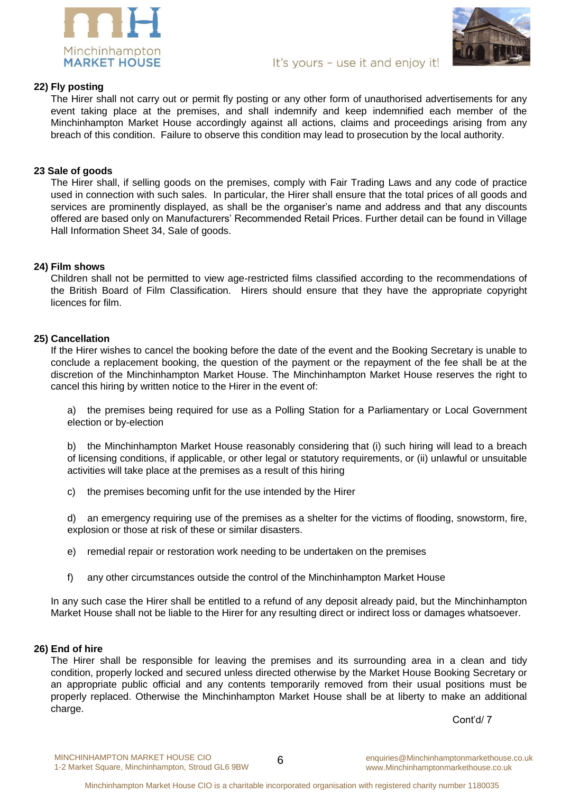



## **22) Fly posting**

The Hirer shall not carry out or permit fly posting or any other form of unauthorised advertisements for any event taking place at the premises, and shall indemnify and keep indemnified each member of the Minchinhampton Market House accordingly against all actions, claims and proceedings arising from any breach of this condition. Failure to observe this condition may lead to prosecution by the local authority.

## **23 Sale of goods**

The Hirer shall, if selling goods on the premises, comply with Fair Trading Laws and any code of practice used in connection with such sales. In particular, the Hirer shall ensure that the total prices of all goods and services are prominently displayed, as shall be the organiser's name and address and that any discounts offered are based only on Manufacturers' Recommended Retail Prices. Further detail can be found in Village Hall Information Sheet 34, Sale of goods.

#### **24) Film shows**

Children shall not be permitted to view age-restricted films classified according to the recommendations of the British Board of Film Classification. Hirers should ensure that they have the appropriate copyright licences for film.

#### **25) Cancellation**

If the Hirer wishes to cancel the booking before the date of the event and the Booking Secretary is unable to conclude a replacement booking, the question of the payment or the repayment of the fee shall be at the discretion of the Minchinhampton Market House. The Minchinhampton Market House reserves the right to cancel this hiring by written notice to the Hirer in the event of:

a) the premises being required for use as a Polling Station for a Parliamentary or Local Government election or by-election

b) the Minchinhampton Market House reasonably considering that (i) such hiring will lead to a breach of licensing conditions, if applicable, or other legal or statutory requirements, or (ii) unlawful or unsuitable activities will take place at the premises as a result of this hiring

c) the premises becoming unfit for the use intended by the Hirer

d) an emergency requiring use of the premises as a shelter for the victims of flooding, snowstorm, fire, explosion or those at risk of these or similar disasters.

- e) remedial repair or restoration work needing to be undertaken on the premises
- f) any other circumstances outside the control of the Minchinhampton Market House

In any such case the Hirer shall be entitled to a refund of any deposit already paid, but the Minchinhampton Market House shall not be liable to the Hirer for any resulting direct or indirect loss or damages whatsoever.

#### **26) End of hire**

The Hirer shall be responsible for leaving the premises and its surrounding area in a clean and tidy condition, properly locked and secured unless directed otherwise by the Market House Booking Secretary or an appropriate public official and any contents temporarily removed from their usual positions must be properly replaced. Otherwise the Minchinhampton Market House shall be at liberty to make an additional charge.

Cont'd/ 7